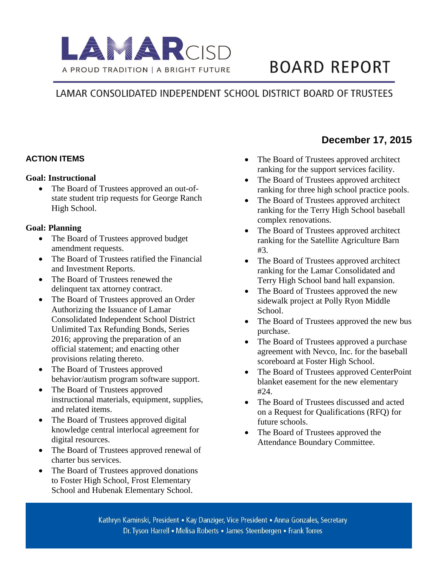

# **BOARD REPORT**

## LAMAR CONSOLIDATED INDEPENDENT SCHOOL DISTRICT BOARD OF TRUSTEES

#### **ACTION ITEMS**

#### **Goal: Instructional**

 The Board of Trustees approved an out-ofstate student trip requests for George Ranch High School.

#### **Goal: Planning**

- The Board of Trustees approved budget amendment requests.
- The Board of Trustees ratified the Financial and Investment Reports.
- The Board of Trustees renewed the delinquent tax attorney contract.
- The Board of Trustees approved an Order Authorizing the Issuance of Lamar Consolidated Independent School District Unlimited Tax Refunding Bonds, Series 2016; approving the preparation of an official statement; and enacting other provisions relating thereto.
- The Board of Trustees approved behavior/autism program software support.
- The Board of Trustees approved instructional materials, equipment, supplies, and related items.
- The Board of Trustees approved digital knowledge central interlocal agreement for digital resources.
- The Board of Trustees approved renewal of charter bus services.
- The Board of Trustees approved donations to Foster High School, Frost Elementary School and Hubenak Elementary School.

**December 17, 2015** 

- The Board of Trustees approved architect ranking for the support services facility.
- The Board of Trustees approved architect ranking for three high school practice pools.
- The Board of Trustees approved architect ranking for the Terry High School baseball complex renovations.
- The Board of Trustees approved architect ranking for the Satellite Agriculture Barn #3.
- The Board of Trustees approved architect ranking for the Lamar Consolidated and Terry High School band hall expansion.
- The Board of Trustees approved the new sidewalk project at Polly Ryon Middle School.
- The Board of Trustees approved the new bus purchase.
- The Board of Trustees approved a purchase agreement with Nevco, Inc. for the baseball scoreboard at Foster High School.
- The Board of Trustees approved CenterPoint blanket easement for the new elementary #24.
- The Board of Trustees discussed and acted on a Request for Qualifications (RFQ) for future schools.
- The Board of Trustees approved the Attendance Boundary Committee.